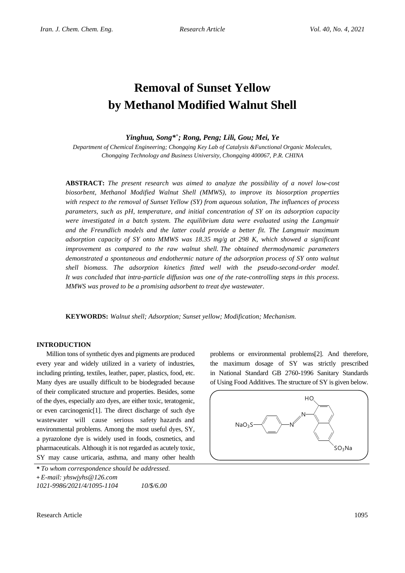# **Removal of Sunset Yellow by Methanol Modified Walnut Shell**

*Yinghua, Song\* + ; Rong, Peng; Lili, Gou; Mei, Ye*

*Department of Chemical Engineering; Chongqing Key Lab of Catalysis &Functional Organic Molecules, Chongqing Technology and Business University, Chongqing 400067, P.R. CHINA*

**ABSTRACT:** *The present research was aimed to analyze the possibility of a novel low-cost biosorbent, Methanol Modified Walnut Shell (MMWS), to improve its biosorption properties with respect to the removal of Sunset Yellow (SY) from aqueous solution, The influences of process parameters, such as pH, temperature, and initial concentration of SY on its adsorption capacity were investigated in a batch system. The equilibrium data were evaluated using the Langmuir and the Freundlich models and the latter could provide a better fit. The Langmuir maximum adsorption capacity of SY onto MMWS was 18.35 mg/g at 298 K, which showed a significant improvement as compared to the raw walnut shell. The obtained thermodynamic parameters demonstrated a spontaneous and endothermic nature of the adsorption process of SY onto walnut shell biomass. The adsorption kinetics fitted well with the pseudo-second-order model. It was concluded that intra-particle diffusion was one of the rate-controlling steps in this process. MMWS was proved to be a promising adsorbent to treat dye wastewater.*

**KEYWORDS:** *Walnut shell; Adsorption; Sunset yellow; Modification; Mechanism.*

## **INTRODUCTION**

Million tons of synthetic dyes and pigments are produced every year and widely utilized in a variety of industries, including printing, textiles, leather, paper, plastics, food, etc. Many dyes are usually difficult to be biodegraded because of their complicated structure and properties. Besides, some of the dyes, especially azo dyes, are either toxic, teratogenic, or even carcinogenic[1]. The direct discharge of such dye wastewater will cause serious safety hazards and environmental problems. Among the most useful dyes, SY, a pyrazolone dye is widely used in foods, cosmetics, and pharmaceuticals. Although it is not regarded as acutely toxic, SY may cause urticaria, asthma, and many other health

*\* To whom correspondence should be addressed.* **+** *E-mail: yhswjyhs@126.com 1021-9986/2021/4/1095-1104 10/\$/6.00*

the maximum dosage of SY was strictly prescribed in National Standard GB 2760-1996 Sanitary Standards of Using Food Additives. The structure of SY is given below.

problems or environmental problems[2]. And therefore,



Research Article 1095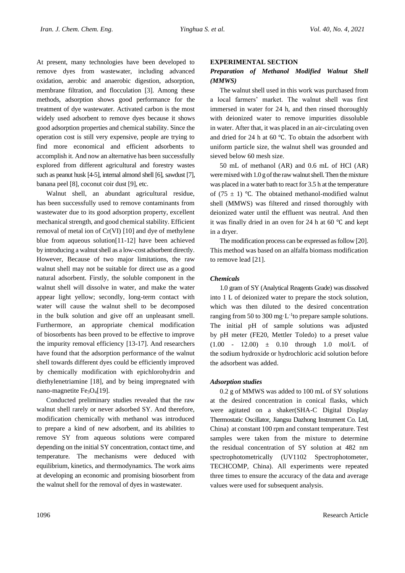At present, many technologies have been developed to remove dyes from wastewater, including advanced oxidation, aerobic and anaerobic digestion, adsorption, membrane filtration, and flocculation [3]. Among these methods, adsorption shows good performance for the treatment of dye wastewater. Activated carbon is the most widely used adsorbent to remove dyes because it shows good adsorption properties and chemical stability. Since the operation cost is still very expensive, people are trying to find more economical and efficient adsorbents to accomplish it. And now an alternative has been successfully explored from different agricultural and forestry wastes such as peanut husk [4-5], internal almond shell [6], sawdust [7], banana peel [8], coconut coir dust [9], etc.

Walnut shell, an abundant agricultural residue, has been successfully used to remove contaminants from wastewater due to its good adsorption property, excellent mechanical strength, and good chemical stability. Efficient removal of metal ion of Cr(VI) [10] and dye of methylene blue from aqueous solution[11-12] have been achieved by introducing a walnut shell as a low-cost adsorbent directly. However, Because of two major limitations, the raw walnut shell may not be suitable for direct use as a good natural adsorbent. Firstly, the soluble component in the walnut shell will dissolve in water, and make the water appear light yellow; secondly, long-term contact with water will cause the walnut shell to be decomposed in the bulk solution and give off an unpleasant smell. Furthermore, an appropriate chemical modification of biosorbents has been proved to be effective to improve the impurity removal efficiency [13-17]. And researchers have found that the adsorption performance of the walnut shell towards different dyes could be efficiently improved by chemically modification with epichlorohydrin and diethylenetriamine [18], and by being impregnated with nano-magnetite Fe<sub>3</sub>O<sub>4</sub>[19].

Conducted preliminary studies revealed that the raw walnut shell rarely or never adsorbed SY. And therefore, modification chemically with methanol was introduced to prepare a kind of new adsorbent, and its abilities to remove SY from aqueous solutions were compared depending on the initial SY concentration, contact time, and temperature. The mechanisms were deduced with equilibrium, kinetics, and thermodynamics. The work aims at developing an economic and promising biosorbent from the walnut shell for the removal of dyes in wastewater.

## **EXPERIMENTAL SECTION**

## *Preparation of Methanol Modified Walnut Shell (MMWS)*

The walnut shell used in this work was purchased from a local farmers' market. The walnut shell was first immersed in water for 24 h, and then rinsed thoroughly with deionized water to remove impurities dissoluble in water. After that, it was placed in an air-circulating oven and dried for 24 h at 60 ℃. To obtain the adsorbent with uniform particle size, the walnut shell was grounded and sieved below 60 mesh size.

50 mL of methanol (AR) and 0.6 mL of HCl (AR) were mixed with 1.0 g of the raw walnut shell. Then the mixture was placed in a water bath to react for 3.5 h at the temperature of (75 ± 1) °C. The obtained methanol-modified walnut shell (MMWS) was filtered and rinsed thoroughly with deionized water until the effluent was neutral. And then it was finally dried in an oven for 24 h at 60 ℃ and kept in a dryer.

The modification process can be expressed as follow [20]. This method was based on an alfalfa biomass modification to remove lead [21].

#### *Chemicals*

1.0 gram of SY (Analytical Reagents Grade) was dissolved into 1 L of deionized water to prepare the stock solution, which was then diluted to the desired concentration ranging from 50 to 300 mg $\cdot$ L<sup>-1</sup>to prepare sample solutions. The initial pH of sample solutions was adjusted by pH meter (FE20, Mettler Toledo) to a preset value  $(1.00 - 12.00) \pm 0.10$  through 1.0 mol/L of the sodium hydroxide or hydrochloric acid solution before the adsorbent was added.

#### *Adsorption studies*

0.2 g of MMWS was added to 100 mL of SY solutions at the desired concentration in conical flasks, which were agitated on a shaker(SHA-C Digital Display Thermostatic Oscillator, Jiangsu Dazhong Instrument Co. Ltd, China) at constant 100 rpm and constant temperature. Test samples were taken from the mixture to determine the residual concentration of SY solution at 482 nm spectrophotometrically (UV1102 Spectrophotometer, TECHCOMP, China). All experiments were repeated three times to ensure the accuracy of the data and average values were used for subsequent analysis.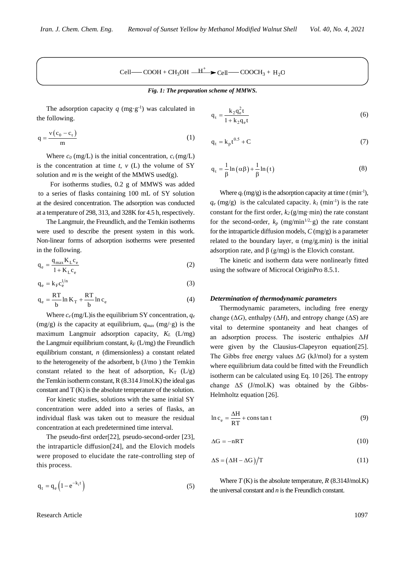$$
Cell \text{---} \text{COOH} + \text{CH}_3\text{OH} \stackrel{\text{---}{H}^+} \blacktriangleright \text{Cell} \text{---} \text{COOCH}_3 + \text{H}_2\text{O}
$$

*Fig. 1: The preparation scheme of MMWS.*

The adsorption capacity  $q$  (mg·g<sup>-1</sup>) was calculated in the following.

$$
q = \frac{v(c_0 - c_t)}{m} \tag{1}
$$

Where  $c_0$  (mg/L) is the initial concentration,  $c_t$  (mg/L) is the concentration at time  $t$ ,  $v$  (L) the volume of SY solution and  $m$  is the weight of the MMWS used(g).

For isotherms studies, 0.2 g of MMWS was added to a series of flasks containing 100 mL of SY solution at the desired concentration. The adsorption was conducted at a temperature of 298, 313, and 328K for 4.5 h, respectively.

The Langmuir, the Freundlich, and the Temkin isotherms were used to describe the present system in this work. Non-linear forms of adsorption isotherms were presented in the following.

$$
q_e = \frac{q_{max} K_L c_e}{1 + K_L c_e}
$$
 (2)

$$
q_e = k_F c_e^{1/n}
$$
\n
$$
RT
$$
\n(3)

$$
q_e = \frac{RT}{b} \ln K_T + \frac{RT}{b} \ln c_e
$$
 (4)

Where  $c_e$  (mg/L) is the equilibrium SY concentration,  $q_e$  $(mg/g)$  *is the capacity at equilibrium,*  $q_{max}$  *(mg/·g) is the* maximum Langmuir adsorption capacity, *K<sup>L</sup>* (L/mg) the Langmuir equilibrium constant, *k<sup>F</sup>* (L/mg) the Freundlich equilibrium constant, *n* (dimensionless) a constant related to the heterogeneity of the adsorbent, b (J/mo ) the Temkin constant related to the heat of adsorption,  $K_T$  ( $L/g$ ) the Temkin isotherm constant, R (8.314 J/mol.K) the ideal gas constant and T (K) is the absolute temperature of the solution.

For kinetic studies, solutions with the same initial SY concentration were added into a series of flasks, an individual flask was taken out to measure the residual concentration at each predetermined time interval.

The pseudo-first order[22], pseudo-second-order [23], the intraparticle diffusion[24], and the Elovich models were proposed to elucidate the rate-controlling step of this process.

$$
q_t = q_e \left( 1 - e^{-k_1 t} \right) \tag{5}
$$

$$
q_t = \frac{k_2 q_e^2 t}{1 + k_2 q_e t} \tag{6}
$$

$$
q_t = k_p t^{0.5} + C \tag{7}
$$

$$
q_{t} = \frac{1}{\beta} \ln \left( \alpha \beta \right) + \frac{1}{\beta} \ln \left( t \right) \tag{8}
$$

Where  $q_t$  (mg/g) is the adsorption capacity at time  $t$  (min<sup>-1</sup>),  $q_e$  (mg/g) is the calculated capacity.  $k_l$  (min<sup>-1</sup>) is the rate constant for the first order,  $k_2$  (g/mg·min) the rate constant for the second-order,  $k_p$  (mg/min<sup>1/2</sup>·g) the rate constant for the intraparticle diffusion models, *C* (mg/g) is a parameter related to the boundary layer,  $\alpha$  (mg/g.min) is the initial adsorption rate, and  $\beta$  (g/mg) is the Elovich constant.

The kinetic and isotherm data were nonlinearly fitted using the software of Microcal OriginPro 8.5.1.

#### *Determination of thermodynamic parameters*

Thermodynamic parameters, including free energy change ( $\Delta G$ ), enthalpy ( $\Delta H$ ), and entropy change ( $\Delta S$ ) are vital to determine spontaneity and heat changes of an adsorption process. The isosteric enthalpies Δ*H*  were given by the Clausius-Clapeyron equation[25]. The Gibbs free energy values  $\Delta G$  (kJ/mol) for a system where equilibrium data could be fitted with the Freundlich isotherm can be calculated using Eq. 10 [26]. The entropy change Δ*S* (J/mol.K) was obtained by the Gibbs-Helmholtz equation [26].

$$
\ln c_e = \frac{\Delta H}{RT} + \text{const} \text{an} t \tag{9}
$$

$$
\Delta G = -nRT \tag{10}
$$

$$
\Delta S = (\Delta H - \Delta G)/T \tag{11}
$$

Where  $T(K)$  is the absolute temperature,  $R(8.314 \text{J/mol.K})$ the universal constant and *n* is the Freundlich constant.

Research Article 1097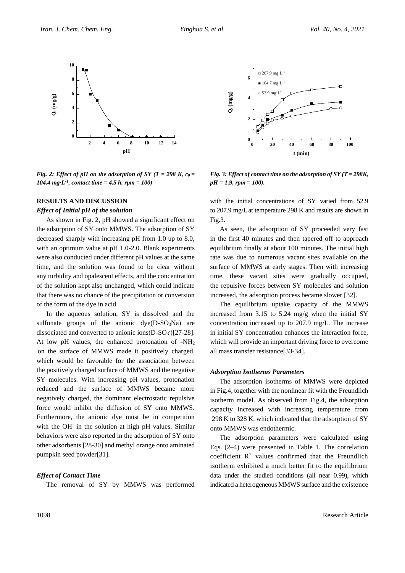

*Fig.* 2: *Effect of pH on the adsorption of SY*  $(T = 298 K, c_0 =$ *104.4 mg·L-1 , contact time = 4.5 h, rpm = 100)*

## **RESULTS AND DISCUSSION**

#### *Effect of Initial pH of the solution*

As shown in Fig. 2, pH showed a significant effect on the adsorption of SY onto MMWS. The adsorption of SY decreased sharply with increasing pH from 1.0 up to 8.0, with an optimum value at pH 1.0-2.0. Blank experiments were also conducted under different pH values at the same time, and the solution was found to be clear without any turbidity and opalescent effects, and the concentration of the solution kept also unchanged, which could indicate that there was no chance of the precipitation or conversion of the form of the dye in acid.

In the aqueous solution, SY is dissolved and the sulfonate groups of the anionic  $dye(D-SO<sub>3</sub>Na)$  are dissociated and converted to anionic ions( $D-SO<sub>3</sub>$ )[27-28]. At low pH values, the enhanced protonation of -NH<sup>2</sup> on the surface of MMWS made it positively charged, which would be favorable for the association between the positively charged surface of MMWS and the negative SY molecules. With increasing pH values, protonation reduced and the surface of MMWS became more negatively charged, the dominant electrostatic repulsive force would inhibit the diffusion of SY onto MMWS. Furthermore, the anionic dye must be in competition with the OH-in the solution at high pH values. Similar behaviors were also reported in the adsorption of SY onto other adsorbents [28-30] and methyl orange onto aminated pumpkin seed powder[31].

## *Effect of Contact Time*

The removal of SY by MMWS was performed



*Fig. 3: Effect of contact time on the adsorption of SY (T = 298K, pH = 1.9, rpm = 100).*

with the initial concentrations of SY varied from 52.9 to 207.9 mg/Lat temperature 298 K and results are shown in Fig.3.

As seen, the adsorption of SY proceeded very fast in the first 40 minutes and then tapered off to approach equilibrium finally at about 100 minutes. The initial high rate was due to numerous vacant sites available on the surface of MMWS at early stages. Then with increasing time, these vacant sites were gradually occupied, the repulsive forces between SY molecules and solution increased, the adsorption process became slower [32].

The equilibrium uptake capacity of the MMWS increased from 3.15 to 5.24 mg/g when the initial SY concentration increased up to 207.9 mg/L. The increase in initial SY concentration enhances the interaction force, which will provide an important driving force to overcome all mass transfer resistance[33-34].

#### *Adsorption Isotherms Parameters*

The adsorption isotherms of MMWS were depicted in Fig.4, together with the nonlinear fit with the Freundlich isotherm model. As observed from Fig.4, the adsorption capacity increased with increasing temperature from 298 K to 328 K, which indicated that the adsorption of SY onto MMWS was endothermic.

The adsorption parameters were calculated using Eqs. (2–4) were presented in Table 1. The correlation coefficient  $\mathbb{R}^2$  values confirmed that the Freundlich isotherm exhibited a much better fit to the equilibrium data under the studied conditions (all near 0.99), which indicated a heterogeneous MMWS surface and the existence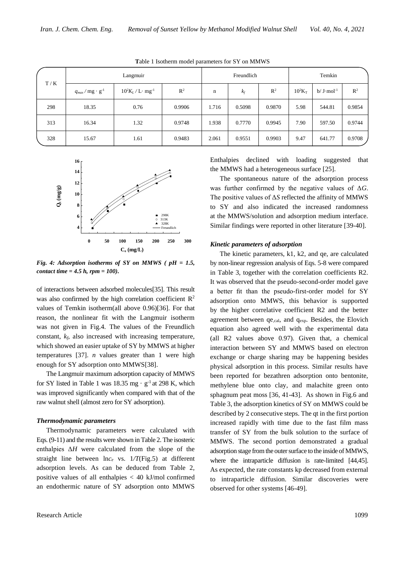| T/K | Langmuir                               |                                    |                | Freundlich |        |        | Temkin                |                      |                |
|-----|----------------------------------------|------------------------------------|----------------|------------|--------|--------|-----------------------|----------------------|----------------|
|     | $q_{max}$ / mg $\cdot$ g <sup>-1</sup> | $10^2K_L/L \cdot$ mg <sup>-1</sup> | $\mathbb{R}^2$ | n          | $k_f$  | $R^2$  | $10^2$ K <sub>T</sub> | $b/J \cdot mol^{-1}$ | $\mathbb{R}^2$ |
| 298 | 18.35                                  | 0.76                               | 0.9906         | 1.716      | 0.5098 | 0.9870 | 5.98                  | 544.81               | 0.9854         |
| 313 | 16.34                                  | 1.32                               | 0.9748         | 1.938      | 0.7770 | 0.9945 | 7.90                  | 597.50               | 0.9744         |
| 328 | 15.67                                  | 1.61                               | 0.9483         | 2.061      | 0.9551 | 0.9903 | 9.47                  | 641.77               | 0.9708         |





*Fig. 4: Adsorption isotherms of SY on MMWS ( pH = 1.5, contact time = 4.5 h, rpm = 100).*

of interactions between adsorbed molecules[35]. This result was also confirmed by the high correlation coefficient  $\mathbb{R}^2$ values of Temkin isotherm(all above 0.96)[36]. For that reason, the nonlinear fit with the Langmuir isotherm was not given in Fig.4. The values of the Freundlich constant,  $k_f$ , also increased with increasing temperature, which showed an easier uptake of SY by MMWS at higher temperatures [37]. *n* values greater than 1 were high enough for SY adsorption onto MMWS[38].

The Langmuir maximum adsorption capacity of MMWS for SY listed in Table 1 was 18.35 mg  $\cdot$  g<sup>-1</sup> at 298 K, which was improved significantly when compared with that of the raw walnut shell (almost zero for SY adsorption).

#### *Thermodynamic parameters*

Thermodynamic parameters were calculated with Eqs.(9-11) and the results were shown in Table 2. The isosteric enthalpies Δ*H* were calculated from the slope of the straight line between ln*c<sup>e</sup>* vs. 1*/T*(Fig.5) at different adsorption levels. As can be deduced from Table 2, positive values of all enthalpies < 40 kJ/mol confirmed an endothermic nature of SY adsorption onto MMWS

Enthalpies declined with loading suggested that the MMWS had a heterogeneous surface [25].

The spontaneous nature of the adsorption process was further confirmed by the negative values of Δ*G*. The positive values of Δ*S* reflected the affinity of MMWS to SY and also indicated the increased randomness  $298K$  at the MMWS/solution and adsorption medium interface. <sup>328K</sup> Similar findings were reported in other literature [39-40].

#### *Kinetic parameters of adsorption*

The kinetic parameters, k1, k2, and qe, are calculated by non-linear regression analysis of Eqs. 5-8 were compared in Table 3, together with the correlation coefficients R2. It was observed that the pseudo-second-order model gave a better fit than the pseudo-first-order model for SY adsorption onto MMWS, this behavior is supported by the higher correlative coefficient R2 and the better agreement between  $qe_{cal}$ , and  $q_{exp}$ . Besides, the Elovich equation also agreed well with the experimental data (all R2 values above 0.97). Given that, a chemical interaction between SY and MMWS based on electron exchange or charge sharing may be happening besides physical adsorption in this process. Similar results have been reported for bezathren adsorption onto bentonite, methylene blue onto clay, and malachite green onto sphagnum peat moss [36, 41-43]. As shown in Fig.6 and Table 3, the adsorption kinetics of SY on MMWS could be described by 2 consecutive steps. The qt in the first portion increased rapidly with time due to the fast film mass transfer of SY from the bulk solution to the surface of MMWS. The second portion demonstrated a gradual adsorption stage from the outer surface to the inside of MMWS, where the intraparticle diffusion is rate-limited [44,45]. As expected, the rate constants kp decreased from external to intraparticle diffusion. Similar discoveries were observed for other systems [46-49].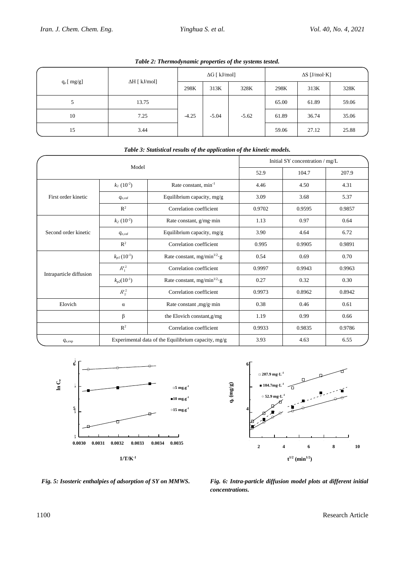| $\tilde{\phantom{a}}$<br>.<br>$\cdot$<br>$\tilde{\phantom{a}}$ |                      |                      |         |         |                      |       |       |
|----------------------------------------------------------------|----------------------|----------------------|---------|---------|----------------------|-------|-------|
|                                                                | $\Delta H$ [ kJ/mol] | $\Delta G$ [ kJ/mol] |         |         | $\Delta S$ [J/mol·K] |       |       |
| $q_e$ [ $mg/g$ ]                                               |                      | 298K                 | 313K    | 328K    | 298K                 | 313K  | 328K  |
|                                                                | 13.75                | $-4.25$              | $-5.04$ | $-5.62$ | 65.00                | 61.89 | 59.06 |
| 10                                                             | 7.25                 |                      |         |         | 61.89                | 36.74 | 35.06 |
| 15                                                             | 3.44                 |                      |         |         | 59.06                | 27.12 | 25.88 |

*Table 2: Thermodynamic properties of the systems tested.*

| Model                   |                                       |                                                     | Initial SY concentration / mg/L |        |        |  |
|-------------------------|---------------------------------------|-----------------------------------------------------|---------------------------------|--------|--------|--|
|                         |                                       | 52.9                                                | 104.7                           | 207.9  |        |  |
|                         | $k_1$ (10 <sup>-2</sup> )             | Rate constant, $min^{-1}$                           | 4.46                            | 4.50   | 4.31   |  |
| First order kinetic     | $q_{e,cal}$                           | Equilibrium capacity, mg/g                          | 3.09                            | 3.68   | 5.37   |  |
|                         | $\mathbb{R}^2$                        | Correlation coefficient                             | 0.9702                          | 0.9595 | 0.9857 |  |
|                         | $k_2$ (10 <sup>-2</sup> )             | Rate constant, $g/mg·min$                           | 1.13                            | 0.97   | 0.64   |  |
| Second order kinetic    | $q_{e,cal}$                           | Equilibrium capacity, mg/g                          | 3.90                            | 4.64   | 6.72   |  |
|                         | $\mathbb{R}^2$                        | Correlation coefficient                             | 0.995                           | 0.9905 | 0.9891 |  |
|                         | $k_{pI}(10^{-1})$                     | Rate constant, mg/min $^{1/2}$ ·g                   | 0.54                            | 0.69   | 0.70   |  |
| Intraparticle diffusion | $R_1^2$                               | Correlation coefficient                             | 0.9997                          | 0.9943 | 0.9963 |  |
|                         | $k_{p2}(10^{-1})$                     | Rate constant, mg/min $^{1/2}$ ·g                   | 0.27                            | 0.32   | 0.30   |  |
|                         | $R_2^2$                               | Correlation coefficient                             | 0.9973                          | 0.8962 | 0.8942 |  |
| Elovich                 | Rate constant $,mg/g·min$<br>$\alpha$ |                                                     | 0.38                            | 0.46   | 0.61   |  |
|                         | β                                     | the Elovich constant, g/mg                          | 1.19                            | 0.99   | 0.66   |  |
|                         | $\mathbb{R}^2$                        | Correlation coefficient                             | 0.9933                          | 0.9835 | 0.9786 |  |
| $q_{\rm e,exp}$         |                                       | Experimental data of the Equilibrium capacity, mg/g | 3.93                            | 4.63   | 6.55   |  |

## *Table 3: Statistical results of the application of the kinetic models.*





*Fig. 5: Isosteric enthalpies of adsorption of SY on MMWS. Fig. 6: Intra-particle diffusion model plots at different initial concentrations.*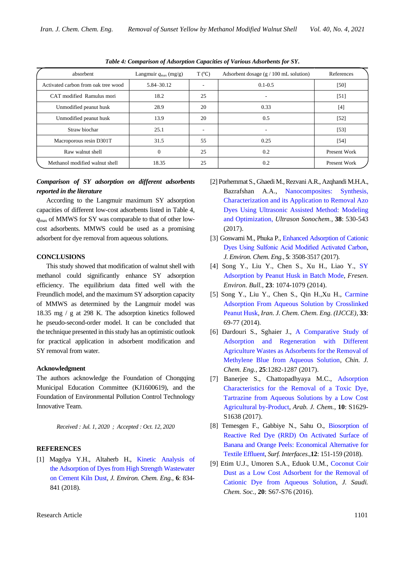| absorbent                           | Langmuir $q_{\text{max}}$ (mg/g) | T (°C) | Adsorbent dosage $(g / 100 \text{ mL}$ solution) | References   |
|-------------------------------------|----------------------------------|--------|--------------------------------------------------|--------------|
| Activated carbon from oak tree wood | 5.84–30.12                       |        | $0.1 - 0.5$                                      | [50]         |
| CAT modified Ramulus mori           | 18.2                             | 25     |                                                  | [51]         |
| Unmodified peanut husk              | 28.9                             | 20     | 0.33                                             | $[4]$        |
| Unmodified peanut husk              | 13.9                             | 20     | 0.5                                              | $[52]$       |
| Straw biochar                       | 25.1                             | -      |                                                  | $[53]$       |
| Macroporous resin D301T             | 31.5                             | 55     | 0.25                                             | $[54]$       |
| Raw walnut shell                    | $\Omega$                         | 25     | 0.2                                              | Present Work |
| Methanol modified walnut shell      | 18.35                            | 25     | 0.2                                              | Present Work |

*Table 4: Comparison of Adsorption Capacities of Various Adsorbents for SY.*

# *Comparison of SY adsorption on different adsorbents reported in the literature*

According to the Langmuir maximum SY adsorption capacities of different low-cost adsorbents listed in Table 4, *q*max of MMWS for SY was comparable to that of other lowcost adsorbents. MMWS could be used as a promising adsorbent for dye removal from aqueous solutions.

### **CONCLUSIONS**

This study showed that modification of walnut shell with methanol could significantly enhance SY adsorption efficiency. The equilibrium data fitted well with the Freundlich model, and the maximum SY adsorption capacity of MMWS as determined by the Langmuir model was 18.35 mg / g at 298 K. The adsorption kinetics followed he pseudo-second-order model. It can be concluded that the technique presented in this study has an optimistic outlook for practical application in adsorbent modification and SY removal from water.

#### **Acknowledgment**

The authors acknowledge the Foundation of Chongqing Municipal Education Committee (KJ1600619), and the Foundation of Environmental Pollution Control Technology Innovative Team.

*Received : Jul. 1, 2020 ; Accepted : Oct. 12, 2020*

#### **REFERENCES**

[1] Magdya Y.H., Altaherb H., [Kinetic Analysis of](https://www.sciencedirect.com/science/article/pii/S2213343718300095)  [the Adsorption of Dyes from High Strength Wastewater](https://www.sciencedirect.com/science/article/pii/S2213343718300095)  [on Cement Kiln Dust,](https://www.sciencedirect.com/science/article/pii/S2213343718300095) *J. Environ. Chem. Eng.,* **6**: 834- 841 (2018).

- [2] Porhemmat S., Ghaedi M., Rezvani A.R., Azqhandi M.H.A., Bazrafshan A.A., [Nanocomposites: Synthesis,](https://www.sciencedirect.com/science/article/pii/S1350417717301542)  [Characterization and its Application to Removal Azo](https://www.sciencedirect.com/science/article/pii/S1350417717301542)  [Dyes Using Ultrasonic Assisted Method: Modeling](https://www.sciencedirect.com/science/article/pii/S1350417717301542)  [and Optimization,](https://www.sciencedirect.com/science/article/pii/S1350417717301542) *Ultrason Sonochem.*, **38**: 530-543 (2017).
- [3] Goswami M., Phuka P., [Enhanced Adsorption of Cationic](https://www.sciencedirect.com/science/article/pii/S2213343717303202)  [Dyes Using Sulfonic Acid Modified Activated Carbon,](https://www.sciencedirect.com/science/article/pii/S2213343717303202) *J. Environ. Chem. Eng.,* **5**: 3508-3517 (2017).
- [4] Song Y., Liu Y., Chen S., Xu H., Liao Y., [SY](https://www.researchgate.net/publication/286298095_Sunset_Yellow_adsorption_by_peanut_husk_in_batch_mode)  [Adsorption by Peanut Husk in Batch Mode,](https://www.researchgate.net/publication/286298095_Sunset_Yellow_adsorption_by_peanut_husk_in_batch_mode) *Fresen. Environ. Bull.,* **23**: 1074-1079 (2014).
- [5] Song Y., Liu Y., Chen S., Qin H.,Xu H., [Carmine](https://www.researchgate.net/publication/279319576_Carmine_Adsorption_from_Aqueous_Solution_by_Crosslinked_Peanut_Husk)  [Adsorption From Aqueous Solution by Crosslinked](https://www.researchgate.net/publication/279319576_Carmine_Adsorption_from_Aqueous_Solution_by_Crosslinked_Peanut_Husk)  [Peanut Husk,](https://www.researchgate.net/publication/279319576_Carmine_Adsorption_from_Aqueous_Solution_by_Crosslinked_Peanut_Husk) *Iran. J. Chem. Chem. Eng. (IJCCE),* **33**: 69-77 (2014).
- [6] Dardouri S., Sghaier J., [A Comparative Study of](https://www.researchgate.net/publication/316459502_A_comparative_study_of_adsorption_and_regeneration_with_different_agricultural_wastes_as_adsorbents_for_the_removal_of_methylene_blue_from_aqueous_solution)  [Adsorption and Regeneration with Different](https://www.researchgate.net/publication/316459502_A_comparative_study_of_adsorption_and_regeneration_with_different_agricultural_wastes_as_adsorbents_for_the_removal_of_methylene_blue_from_aqueous_solution)  [Agriculture Wastes as Adsorbents for the Removal of](https://www.researchgate.net/publication/316459502_A_comparative_study_of_adsorption_and_regeneration_with_different_agricultural_wastes_as_adsorbents_for_the_removal_of_methylene_blue_from_aqueous_solution)  [Methylene Blue from Aqueous Solution,](https://www.researchgate.net/publication/316459502_A_comparative_study_of_adsorption_and_regeneration_with_different_agricultural_wastes_as_adsorbents_for_the_removal_of_methylene_blue_from_aqueous_solution) *Chin. J. Chem. Eng.,* **25**:1282-1287 (2017).
- [7] Banerjee S., Chattopadhyaya M.C., [Adsorption](https://www.researchgate.net/publication/275530320_Adsorption_characteristics_for_the_removal_of_a_toxic_dye_tartrazine_from_aqueous_solutions_by_a_low_cost_agricultural_by-product)  [Characteristics for the Removal of a Toxic Dye,](https://www.researchgate.net/publication/275530320_Adsorption_characteristics_for_the_removal_of_a_toxic_dye_tartrazine_from_aqueous_solutions_by_a_low_cost_agricultural_by-product)  [Tartrazine from Aqueous Solutions by a Low Cost](https://www.researchgate.net/publication/275530320_Adsorption_characteristics_for_the_removal_of_a_toxic_dye_tartrazine_from_aqueous_solutions_by_a_low_cost_agricultural_by-product)  [Agricultural by-Product,](https://www.researchgate.net/publication/275530320_Adsorption_characteristics_for_the_removal_of_a_toxic_dye_tartrazine_from_aqueous_solutions_by_a_low_cost_agricultural_by-product) *Arab. J. Chem.*, **10**: S1629- S1638 (2017).
- [8] Temesgen F., Gabbiye N., Sahu O., [Biosorption of](https://www.sciencedirect.com/science/article/pii/S246802301830021X)  [Reactive Red Dye \(RRD\) On Activated Surface of](https://www.sciencedirect.com/science/article/pii/S246802301830021X)  [Banana and Orange Peels: Economical Alternative for](https://www.sciencedirect.com/science/article/pii/S246802301830021X)  [Textile Effluent,](https://www.sciencedirect.com/science/article/pii/S246802301830021X) *Surf. Interfaces*.,**12**: 151-159 (2018).
- [9] Etim U.J., Umoren S.A., Eduok U.M., [Coconut](https://www.sciencedirect.com/science/article/pii/S1319610312001470) Coir Dust as a [Low Cost Adsorbent for the Removal of](https://www.sciencedirect.com/science/article/pii/S1319610312001470)  [Cationic Dye from Aqueous Solution,](https://www.sciencedirect.com/science/article/pii/S1319610312001470) *J. Saudi. Chem. Soc.,* **20**: S67-S76 (2016).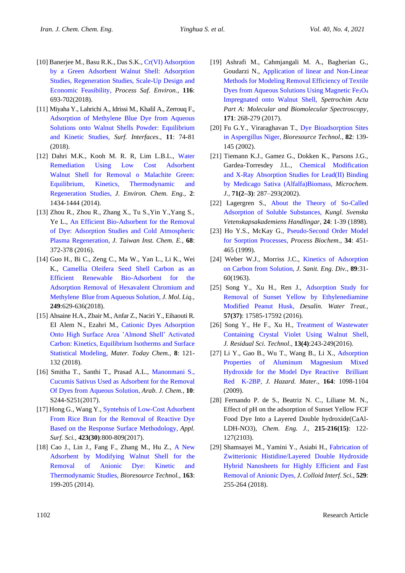- [10] Banerjee M., Basu R.K., Das S.K., [Cr\(VI\) Adsorption](https://www.sciencedirect.com/science/article/pii/S0957582018300922)  [by a Green Adsorbent Walnut Shell: Adsorption](https://www.sciencedirect.com/science/article/pii/S0957582018300922)  [Studies, Regeneration Studies, Scale-Up Design and](https://www.sciencedirect.com/science/article/pii/S0957582018300922)  [Economic Feasibility,](https://www.sciencedirect.com/science/article/pii/S0957582018300922) *Process Saf. Environ.,* **116**: 693-702(2018).
- [11] Miyaha Y., Lahrichi A., Idrissi M., Khalil A., Zerrouq F., [Adsorption of Methylene Blue Dye from Aqueous](https://www.sciencedirect.com/science/article/pii/S2468023018301421)  [Solutions onto Walnut Shells Powder: Equilibrium](https://www.sciencedirect.com/science/article/pii/S2468023018301421)  [and Kinetic Studies,](https://www.sciencedirect.com/science/article/pii/S2468023018301421) *Surf. Interfaces.,* **11**: 74-81 (2018).
- [12] Dahri M.K., Kooh M. R. R, Lim L.B.L., [Water](https://www.sciencedirect.com/science/article/pii/S221334371400150X)  [Remediation Using Low Cost Adsorbent](https://www.sciencedirect.com/science/article/pii/S221334371400150X)  [Walnut Shell for Removal o](https://www.sciencedirect.com/science/article/pii/S221334371400150X) Malachite Green: [Equilibrium, Kinetics, Thermodynamic and](https://www.sciencedirect.com/science/article/pii/S221334371400150X)  [Regeneration Studies,](https://www.sciencedirect.com/science/article/pii/S221334371400150X) *J. Environ. Chem. Eng.,* **2**: 1434-1444 (2014).
- [13] Zhou R., Zhou R., Zhang X., Tu S.,Yin Y.,Yang S., Ye L., [An Efficient Bio-Adsorbent for the Removal](https://www.sciencedirect.com/science/article/pii/S1876107016303674)  of [Dye: Adsorption Studies and Cold Atmospheric](https://www.sciencedirect.com/science/article/pii/S1876107016303674)  [Plasma Regeneration,](https://www.sciencedirect.com/science/article/pii/S1876107016303674) *J. Taiwan Inst. Chem. E.,* **68**: 372-378 (2016).
- [14] Guo H., Bi C., Zeng C., Ma W., Yan L., Li K., Wei K., Camellia Oleifera [Seed Shell Carbon as an](https://www.sciencedirect.com/science/article/pii/S0167732217336164)  [Efficient Renewable Bio-Adsorbent for the](https://www.sciencedirect.com/science/article/pii/S0167732217336164)  [Adsorption Removal of Hexavalent Chromium and](https://www.sciencedirect.com/science/article/pii/S0167732217336164)  [Methylene Blue from Aqueous Solution,](https://www.sciencedirect.com/science/article/pii/S0167732217336164) *J. Mol. Liq.,* **249**:629-636(2018).
- [15] Ahsaine H.A., Zbair M., Anfar Z., Naciri Y., Eihaouti R. EI Alem N., Ezahri M., [Cationic Dyes Adsorption](https://www.sciencedirect.com/science/article/pii/S2468519418300314)  [Onto High Surface Area 'Almond Shell' Activated](https://www.sciencedirect.com/science/article/pii/S2468519418300314)  [Carbon: Kinetics, Equilibrium Isotherms and Surface](https://www.sciencedirect.com/science/article/pii/S2468519418300314)  [Statistical Modeling,](https://www.sciencedirect.com/science/article/pii/S2468519418300314) *Mater. Today Chem.,* **8**: 121- 132 (2018).
- [16] Smitha T., Santhi T., Prasad A.L., [Manonmani S.,](https://www.sciencedirect.com/science/article/pii/S187853521200189X)  [Cucumis Sativus Used as Adsorbent for the Removal](https://www.sciencedirect.com/science/article/pii/S187853521200189X)  [Of Dyes from Aqueous Solution,](https://www.sciencedirect.com/science/article/pii/S187853521200189X) *Arab. J. Chem.,* **10**: S244-S251(2017).
- [17] Hong G., Wang Y.[, Syntehsis of Low-Cost Adsorbent](https://www.sciencedirect.com/science/article/pii/S0169433217319190)  [From Rice Bran for the Removal of Reactive Dye](https://www.sciencedirect.com/science/article/pii/S0169433217319190)  [Based on the Response Surface Methodology,](https://www.sciencedirect.com/science/article/pii/S0169433217319190) *Appl. Surf. Sci.,* **423(30)**:800-809(2017).
- [18] Cao J., Lin J., Fang F., Zhang M., Hu Z., [A New](https://www.sciencedirect.com/science/article/pii/S0960852414005513)  [Adsorbent by Modifying Walnut Shell for the](https://www.sciencedirect.com/science/article/pii/S0960852414005513)  [Removal of Anionic Dye: Kinetic and](https://www.sciencedirect.com/science/article/pii/S0960852414005513)  [Thermodynamic Studies,](https://www.sciencedirect.com/science/article/pii/S0960852414005513) *Bioresource Technol.,* **163**: 199-205 (2014).
- [19] Ashrafi M., Cahmjangali M. A., Bagherian G., Goudarzi N., [Application of linear and Non-Linear](https://www.sciencedirect.com/science/article/pii/S1386142516304413)  [Methods for Modeling Removal Efficiency of Textile](https://www.sciencedirect.com/science/article/pii/S1386142516304413)  [Dyes from Aqueous Solutions Using Magnetic Fe](https://www.sciencedirect.com/science/article/pii/S1386142516304413)<sub>3</sub>O<sub>4</sub> [Impregnated onto Walnut Shell,](https://www.sciencedirect.com/science/article/pii/S1386142516304413) *Spetrochim Acta Part A: Molecular and Biomolecular Spectroscopy*, **171**: 268-279 (2017).
- [20] Fu G.Y., Viraraghavan T., [Dye Bioadsorption Sites](https://www.researchgate.net/publication/11368330_Dye_biosorption_sites_in_Aspergillus_niger)  [in Aspergillus Niger,](https://www.researchgate.net/publication/11368330_Dye_biosorption_sites_in_Aspergillus_niger) *Bioresource Technol.,* **82**: 139- 145 (2002).
- [21] Tiemann K.J., Gamez G., Dokken K., Parsons J.G., Gardea-Torresdey J.L., [Chemical Modification](https://www.sciencedirect.com/science/article/pii/S0026265X02000218)  [and X-Ray Absorption Studies for Lead\(II\) Binding](https://www.sciencedirect.com/science/article/pii/S0026265X02000218)  [by Medicago Sativa \(Alfalfa\)Biomass,](https://www.sciencedirect.com/science/article/pii/S0026265X02000218) *Microchem. J.,* **71(2–3)**: 287–293(2002).
- [22] Lagergren S., About the Theory of So-Called [Adsorption of Soluble Substances,](https://www.researchgate.net/publication/284894476_About_the_theory_of_so-called_adsorption_of_solution_substances) *Kungl. Svenska Vetenskapsakademiens Handlingar,* **24**: 1-39 (1898).
- [23] Ho Y.S., McKay G., [Pseudo-Second Order Model](https://www.sciencedirect.com/science/article/pii/S0032959298001125) [for Sorption Processes,](https://www.sciencedirect.com/science/article/pii/S0032959298001125) *Process Biochem.,* **34**: 451- 465 (1999).
- [24] Weber W.J., Morriss J.C., [Kinetics of Adsorption](https://www.researchgate.net/publication/281080064_Kinetics_of_Adsorption_on_Carbon_From_Solution)  [on Carbon from Solution,](https://www.researchgate.net/publication/281080064_Kinetics_of_Adsorption_on_Carbon_From_Solution) *J. Sanit. Eng. Div.,* **89**:31- 60(1963).
- [25] Song Y., Xu H., Ren J., Adsorption Study for [Removal of Sunset Yellow by Ethylenediamine](https://www.tandfonline.com/doi/abs/10.1080/19443994.2015.1086897)  [Modified Peanut Husk,](https://www.tandfonline.com/doi/abs/10.1080/19443994.2015.1086897) *Desalin. Water Treat.,* **57(37)**: 17585-17592 (2016).
- [26] Song Y., He F., Xu H., [Treatment of Wastewater](https://www.researchgate.net/publication/309658695_Treatment_of_Wastewater_Containing_Crystal_Violet_Using_Walnut_Shell)  [Containing Crystal Violet Using Walnut Shell,](https://www.researchgate.net/publication/309658695_Treatment_of_Wastewater_Containing_Crystal_Violet_Using_Walnut_Shell) *J. Residual Sci. Technol.,* **13(4)**:243-249(2016).
- [27] Li Y., Gao B., Wu T., Wang B., Li X., [Adsorption](https://www.sciencedirect.com/science/article/pii/S030438940801337X)  [Properties of Aluminum Magnesium Mixed](https://www.sciencedirect.com/science/article/pii/S030438940801337X)  [Hydroxide for the Model Dye Reactive Brilliant](https://www.sciencedirect.com/science/article/pii/S030438940801337X)  [Red K-2BP,](https://www.sciencedirect.com/science/article/pii/S030438940801337X) *J. Hazard. Mater.,* **164**: 1098-1104 (2009).
- [28] Fernando P. de S., Beatriz N. C., Liliane M. N., [Effect of pH on the adsorption of Sunset Yellow FCF](https://www.sciencedirect.com/science/article/pii/S1385894712014763)  Food Dye Into a [Layered Double hydroxide\(CaAl-](https://www.sciencedirect.com/science/article/pii/S1385894712014763)[LDH-NO3\),](https://www.sciencedirect.com/science/article/pii/S1385894712014763) *Chem. Eng. J.,* **215-216(15)**: 122- 127(2103).
- [29] Shamsayei M., Yamini Y., Asiabi H., [Fabrication of](https://www.sciencedirect.com/science/article/pii/S0021979718306702)  [Zwitterionic Histidine/Layered Double Hydroxide](https://www.sciencedirect.com/science/article/pii/S0021979718306702)  [Hybrid Nanosheets for Highly Efficient and Fast](https://www.sciencedirect.com/science/article/pii/S0021979718306702)  [Removal of Anionic Dyes,](https://www.sciencedirect.com/science/article/pii/S0021979718306702) *J. Colloid Interf. Sci.,* **529**: 255-264 (2018).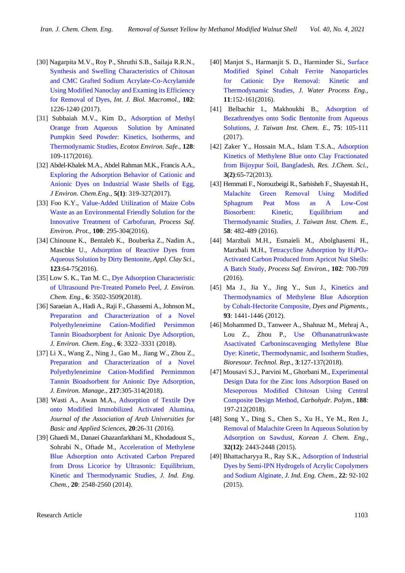- [30] Nagarpita M.V., Roy P., Shruthi S.B., Sailaja R.R.N., [Synthesis and Swelling Characteristics of Chitosan](https://www.ncbi.nlm.nih.gov/pubmed/28479393)  [and CMC Grafted Sodium Acrylate-Co-Acrylamide](https://www.ncbi.nlm.nih.gov/pubmed/28479393)  [Using Modified Nanoclay and Examing its Efficiency](https://www.ncbi.nlm.nih.gov/pubmed/28479393)  [for Removal of Dyes,](https://www.ncbi.nlm.nih.gov/pubmed/28479393) *Int. J. Biol. Macromol.,* **102**: 1226-1240 (2017).
- [31] Subbaiah M.V., Kim D., Adsorption of Methyl [Orange from Aqueous Solution by Aminated](https://www.ncbi.nlm.nih.gov/pubmed/?term=Adsorption+of+methyl+orange+from+aqueous+solution+by+aminated+pumpkin+seed+powder%3AKinetics%2C+isotherms%2C+and+thermodynamic+studies)  [Pumpkin Seed Powder: Kinetics, Isotherms, and](https://www.ncbi.nlm.nih.gov/pubmed/?term=Adsorption+of+methyl+orange+from+aqueous+solution+by+aminated+pumpkin+seed+powder%3AKinetics%2C+isotherms%2C+and+thermodynamic+studies)  [Thermodynamic Studies,](https://www.ncbi.nlm.nih.gov/pubmed/?term=Adsorption+of+methyl+orange+from+aqueous+solution+by+aminated+pumpkin+seed+powder%3AKinetics%2C+isotherms%2C+and+thermodynamic+studies) *Ecotox Environ. Safe.,* **128**: 109-117(2016).
- [32] Abdel-Khalek M.A., Abdel Rahman M.K., Francis A.A., [Exploring the Adsorption Behavior of Cationic and](https://www.sciencedirect.com/science/article/pii/S2213343716304377)  [Anionic Dyes on Industrial Waste Shells of Egg,](https://www.sciencedirect.com/science/article/pii/S2213343716304377) *J Environ. Chem.Eng.,* **5(1)**: 319-327(2017).
- [33] Foo K.Y., [Value-Added Utilization of Maize Cobs](https://www.sciencedirect.com/science/article/pii/S0957582016000252)  [Waste as an Environmental Friendly Solution for the](https://www.sciencedirect.com/science/article/pii/S0957582016000252)  [Innovative Treatment of Carbofuran,](https://www.sciencedirect.com/science/article/pii/S0957582016000252) *Process Saf. Environ. Prot.*, **100**: 295-304(2016).
- [34] Chinoune K., Bentaleb K., Bouberka Z., Nadim A., Maschke U., [Adsorption of Reactive Dyes from](https://www.sciencedirect.com/science/article/pii/S0169131716300060)  [Aqueous Solution by Dirty Bentonite,](https://www.sciencedirect.com/science/article/pii/S0169131716300060) *Appl. Clay Sci.,* **123**:64-75(2016).
- [35] Low S. K., Tan M. C., [Dye Adsorption Characteristic](https://www.sciencedirect.com/science/article/pii/S2213343718302598)  [of Ultrasound Pre-Treated Pomelo Peel,](https://www.sciencedirect.com/science/article/pii/S2213343718302598) *J. Environ. Chem. Eng.*, **6**: 3502-3509(2018).
- [36] Saraeian A., Hadi A., Raji F., Ghassemi A., Johnson M., Preparation and [Characterization of a](https://www.sciencedirect.com/science/article/pii/S2213343718302549) Novel [Polyethyleneimine Cation-Modified Persimmon](https://www.sciencedirect.com/science/article/pii/S2213343718302549)  [Tannin Bioadsorpbent for Anionic Dye Adsorption,](https://www.sciencedirect.com/science/article/pii/S2213343718302549) *J. Environ. Chem. Eng.,* **6**: 3322–3331 (2018).
- [37] Li X., Wang Z., Ning J., Gao M., Jiang W., Zhou Z., [Preparation and Characterization of a](https://www.sciencedirect.com/science/article/pii/S0301479718303402) Novel [Polyethyleneimine Cation-Modified Permimmon](https://www.sciencedirect.com/science/article/pii/S0301479718303402)  [Tannin Bioadsorbent for Anionic Dye Adsorption](https://www.sciencedirect.com/science/article/pii/S0301479718303402)*, J. Environ. Manage.,* **217**:305-314(2018).
- [38] Wasti A., Awan M.A., [Adsorption of Textile Dye](https://www.sciencedirect.com/science/article/pii/S1815385214000571)  [onto Modified Immobilized Activated Alumina,](https://www.sciencedirect.com/science/article/pii/S1815385214000571) *Journal of the Association of Arab Universities for Basic and Applied Sciences,* **20**:26-31 (2016).
- [39] Ghaedi M., Danaei Ghazanfarkhani M., Khodadoust S., Sohrabi N., Oftade M., [Acceleration of Methylene](https://www.sciencedirect.com/science/article/pii/S1226086X13005194)  [Blue Adsorption onto Activated Carbon Prepared](https://www.sciencedirect.com/science/article/pii/S1226086X13005194)  from Dross Licorice by Ultrasonic: Equilibrium, [Kinetic and Thermodynamic Studies,](https://www.sciencedirect.com/science/article/pii/S1226086X13005194) *J. Ind. Eng. Chem.,* **20**: 2548-2560 (2014).
- [40] Manjot S., Harmanjit S. D., Harminder Si., [Surface](https://www.sciencedirect.com/science/article/pii/S2214714416301969)  [Modified Spinel Cobalt Ferrite Nanoparticles](https://www.sciencedirect.com/science/article/pii/S2214714416301969)  [for Cationic Dye Removal: Kinetic and](https://www.sciencedirect.com/science/article/pii/S2214714416301969)  [Thermodynamic Studies,](https://www.sciencedirect.com/science/article/pii/S2214714416301969) *J. Water Process Eng.,* **11**:152-161(2016).
- [41] Belbachir I., Makhoukhi B., [Adsorption of](https://www.sciencedirect.com/science/article/pii/S187610701730086X)  [Bezathrendyes onto Sodic Bentonite from Aqueous](https://www.sciencedirect.com/science/article/pii/S187610701730086X)  [Solutions,](https://www.sciencedirect.com/science/article/pii/S187610701730086X) *J. Taiwan Inst. Chem. E.,* **75**: 105-111 (2017).
- [42] Zaker Y., Hossain M.A., Islam T.S.A., [Adsorption](https://www.researchgate.net/publication/288231376_Adsorption_kinetics_of_methylene_blue_onto_clay_fractionated_from_Bijoypur_soil_Bangladesh)  [Kinetics of Methylene Blue onto Clay Fractionated](https://www.researchgate.net/publication/288231376_Adsorption_kinetics_of_methylene_blue_onto_clay_fractionated_from_Bijoypur_soil_Bangladesh)  [from Bijoypur Soil, Bangladesh,](https://www.researchgate.net/publication/288231376_Adsorption_kinetics_of_methylene_blue_onto_clay_fractionated_from_Bijoypur_soil_Bangladesh) *Res. J.Chem. Sci.,* **3(2)**:65-72(2013).
- [43] Hemmati F., Norouzbeigi R., Sarbisheh F., Shayestah H., [Malachite Green Removal Using Modified](https://www.sciencedirect.com/science/article/pii/S1876107015003302#!)  [Sphagnum Peat Moss as A Low-Cost](https://www.sciencedirect.com/science/article/pii/S1876107015003302#!)  [Biosorbent: Kinetic, Equilibrium and](https://www.sciencedirect.com/science/article/pii/S1876107015003302#!)  [Thermodynamic Studies,](https://www.sciencedirect.com/science/article/pii/S1876107015003302#!) *J. Taiwan Inst. Chem. E.,*  **58**: 482-489 (2016).
- [44] Marzbali M.H., Esmaieli M., Abolghasemi H., Marzbali M.H., Tetracycline Adsorption by  $H_3PO_4$ -[Activated Carbon Produced from Apricot Nut Shells:](https://www.sciencedirect.com/science/article/pii/S0957582016300854)  [A Batch Study,](https://www.sciencedirect.com/science/article/pii/S0957582016300854) *Process Saf. Environ.*, **102**: 700-709 (2016).
- [45] Ma J., Jia Y., Jing Y., Sun J., Kinetics and [Thermodynamics of Methylene Blue Adsorption](https://www.sciencedirect.com/science/article/pii/S0143720811002403)  [by Cobalt-Hectorite Composite,](https://www.sciencedirect.com/science/article/pii/S0143720811002403) *Dyes and Pigments.,* **93**: 1441-1446 (2012).
- [46] Mohammed D., Tanweer A., Shahnaz M., Mehraj A., Lou Z., Zhou P., [Use Ofbananatrunkwaste](https://www.onacademic.com/detail/journal_1000040411682010_ef1c.html)  [Asactivated Carboninscavenging Methylene Blue](https://www.onacademic.com/detail/journal_1000040411682010_ef1c.html)  [Dye: Kinetic, Thermodynamic, and Isotherm Studies,](https://www.onacademic.com/detail/journal_1000040411682010_ef1c.html) *Bioresour. Technol. Rep.,* **3**:127-137(2018).
- [47] Mousavi S.J., Parvini M., Ghorbani M.[, Experimental](https://www.sciencedirect.com/science/article/pii/S0144861718301310)  [Design Data for the Zinc Ions Adsorption Based on](https://www.sciencedirect.com/science/article/pii/S0144861718301310)  [Mesoporous Modified Chitosan Using Central](https://www.sciencedirect.com/science/article/pii/S0144861718301310)  [Composite Design Method,](https://www.sciencedirect.com/science/article/pii/S0144861718301310) *Carbohydr. Polym.,* **188**: 197-212(2018).
- [48] Song Y., Ding S., Chen S., Xu H., Ye M., Ren J., [Removal of Malachite Green In Aqueous Solution by](https://link.springer.com/article/10.1007/s11814-015-0103-1)  [Adsorption on Sawdust,](https://link.springer.com/article/10.1007/s11814-015-0103-1) *Korean J. Chem. Eng.,* **32(12)**: 2443-2448 (2015).
- [49] Bhattacharyya R., Ray S.K., [Adsorption of Industrial](https://www.sciencedirect.com/science/article/pii/S1226086X14003396)  [Dyes by Semi-IPN Hydrogels of Acrylic Copolymers](https://www.sciencedirect.com/science/article/pii/S1226086X14003396)  [and Sodium Alginate](https://www.sciencedirect.com/science/article/pii/S1226086X14003396)*, J. Ind. Eng. Chem.,* **22**: 92-102 (2015).